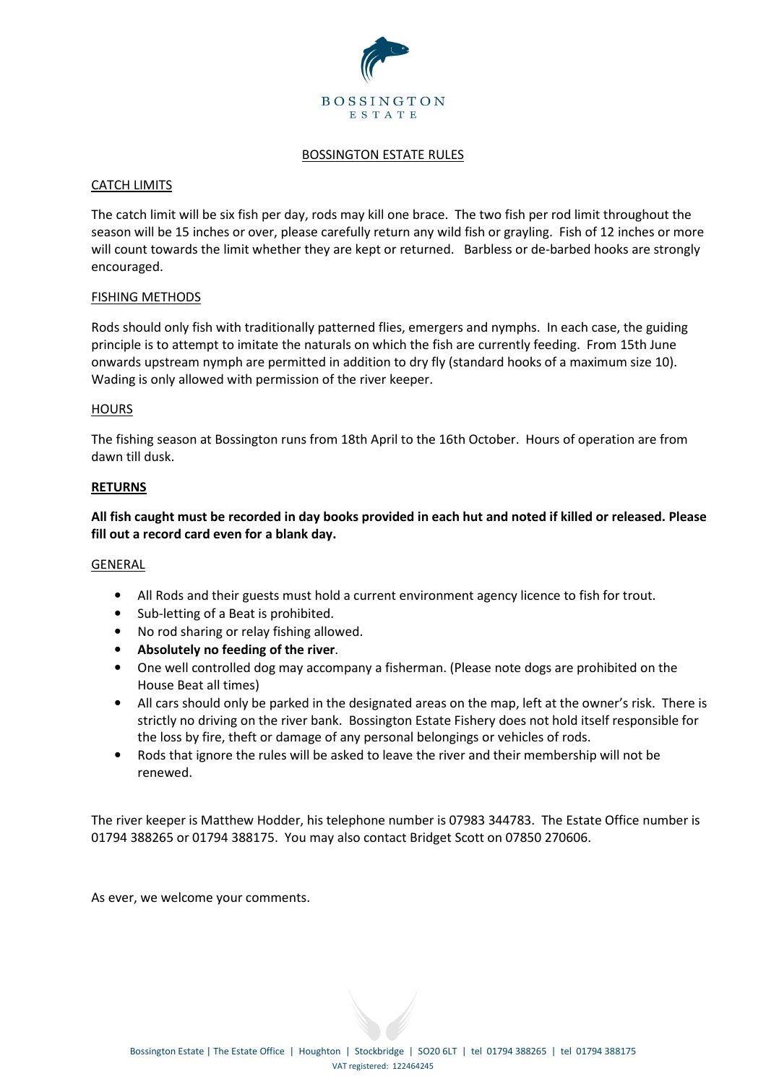

### BOSSINGTON ESTATE RULES

# CATCH LIMITS

The catch limit will be six fish per day, rods may kill one brace. The two fish per rod limit throughout the season will be 15 inches or over, please carefully return any wild fish or grayling. Fish of 12 inches or more will count towards the limit whether they are kept or returned. Barbless or de-barbed hooks are strongly encouraged.

### FISHING METHODS

Rods should only fish with traditionally patterned flies, emergers and nymphs. In each case, the guiding principle is to attempt to imitate the naturals on which the fish are currently feeding. From 15th June onwards upstream nymph are permitted in addition to dry fly (standard hooks of a maximum size 10). Wading is only allowed with permission of the river keeper.

### **HOURS**

The fishing season at Bossington runs from 18th April to the 16th October. Hours of operation are from dawn till dusk.

### **RETURNS**

**All fish caught must be recorded in day books provided in each hut and noted if killed or released. Please fill out a record card even for a blank day.** 

#### GENERAL

- All Rods and their guests must hold a current environment agency licence to fish for trout.
- Sub-letting of a Beat is prohibited.
- No rod sharing or relay fishing allowed.
- **Absolutely no feeding of the river**.
- One well controlled dog may accompany a fisherman. (Please note dogs are prohibited on the House Beat all times)
- All cars should only be parked in the designated areas on the map, left at the owner's risk. There is strictly no driving on the river bank. Bossington Estate Fishery does not hold itself responsible for the loss by fire, theft or damage of any personal belongings or vehicles of rods.
- Rods that ignore the rules will be asked to leave the river and their membership will not be renewed.

The river keeper is Matthew Hodder, his telephone number is 07983 344783. The Estate Office number is 01794 388265 or 01794 388175. You may also contact Bridget Scott on 07850 270606.

As ever, we welcome your comments.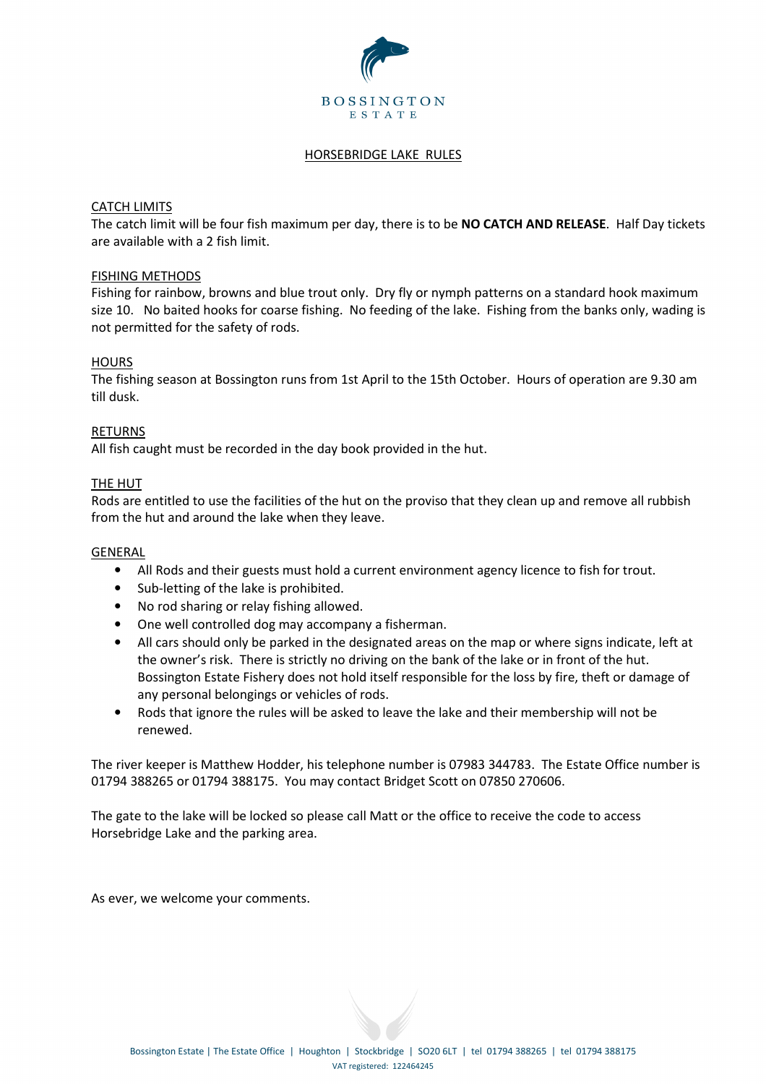

# HORSEBRIDGE LAKE RULES

# CATCH LIMITS

The catch limit will be four fish maximum per day, there is to be **NO CATCH AND RELEASE**. Half Day tickets are available with a 2 fish limit.

### FISHING METHODS

Fishing for rainbow, browns and blue trout only. Dry fly or nymph patterns on a standard hook maximum size 10. No baited hooks for coarse fishing. No feeding of the lake. Fishing from the banks only, wading is not permitted for the safety of rods.

### **HOURS**

The fishing season at Bossington runs from 1st April to the 15th October. Hours of operation are 9.30 am till dusk.

### RETURNS

All fish caught must be recorded in the day book provided in the hut.

### THE HUT

Rods are entitled to use the facilities of the hut on the proviso that they clean up and remove all rubbish from the hut and around the lake when they leave.

#### GENERAL

- All Rods and their guests must hold a current environment agency licence to fish for trout.
- Sub-letting of the lake is prohibited.
- No rod sharing or relay fishing allowed.
- One well controlled dog may accompany a fisherman.
- All cars should only be parked in the designated areas on the map or where signs indicate, left at the owner's risk. There is strictly no driving on the bank of the lake or in front of the hut. Bossington Estate Fishery does not hold itself responsible for the loss by fire, theft or damage of any personal belongings or vehicles of rods.
- Rods that ignore the rules will be asked to leave the lake and their membership will not be renewed.

The river keeper is Matthew Hodder, his telephone number is 07983 344783. The Estate Office number is 01794 388265 or 01794 388175. You may contact Bridget Scott on 07850 270606.

The gate to the lake will be locked so please call Matt or the office to receive the code to access Horsebridge Lake and the parking area.

As ever, we welcome your comments.